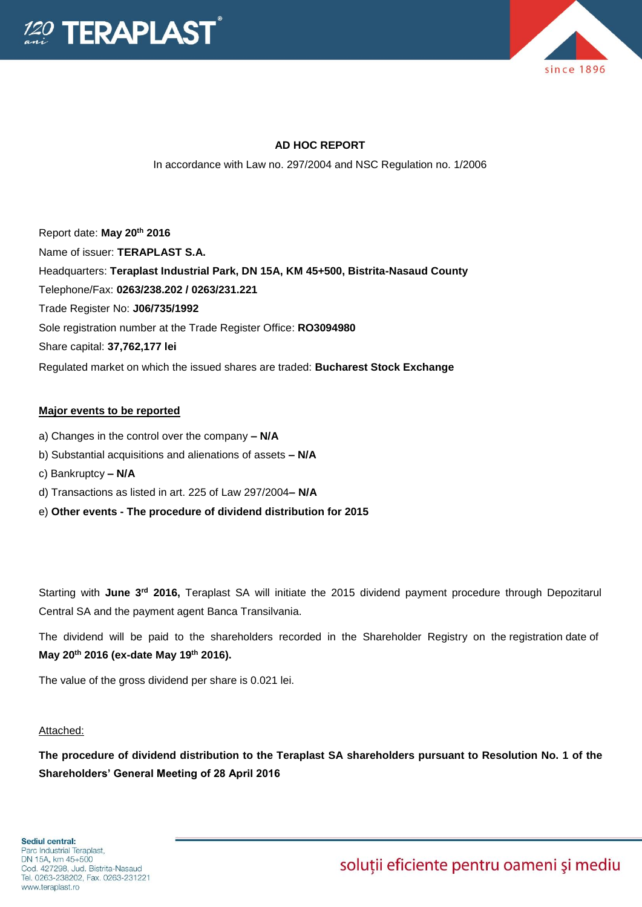



### **AD HOC REPORT**

In accordance with Law no. 297/2004 and NSC Regulation no. 1/2006

Report date: **May 20th 2016** Name of issuer: **TERAPLAST S.A.**  Headquarters: **Teraplast Industrial Park, DN 15A, KM 45+500, Bistrita-Nasaud County** Telephone/Fax: **0263/238.202 / 0263/231.221** Trade Register No: **J06/735/1992** Sole registration number at the Trade Register Office: **RO3094980** Share capital: **37,762,177 lei**  Regulated market on which the issued shares are traded: **Bucharest Stock Exchange**

### **Major events to be reported**

- a) Changes in the control over the company **– N/A**
- b) Substantial acquisitions and alienations of assets **– N/A**
- c) Bankruptcy **– N/A**
- d) Transactions as listed in art. 225 of Law 297/2004**– N/A**
- e) **Other events - The procedure of dividend distribution for 2015**

Starting with **June 3rd 2016,** Teraplast SA will initiate the 2015 dividend payment procedure through Depozitarul Central SA and the payment agent Banca Transilvania.

The dividend will be paid to the shareholders recorded in the Shareholder Registry on the registration date of **May 20th 2016 (ex-date May 19th 2016).**

The value of the gross dividend per share is 0.021 lei.

#### Attached:

**The procedure of dividend distribution to the Teraplast SA shareholders pursuant to Resolution No. 1 of the Shareholders' General Meeting of 28 April 2016**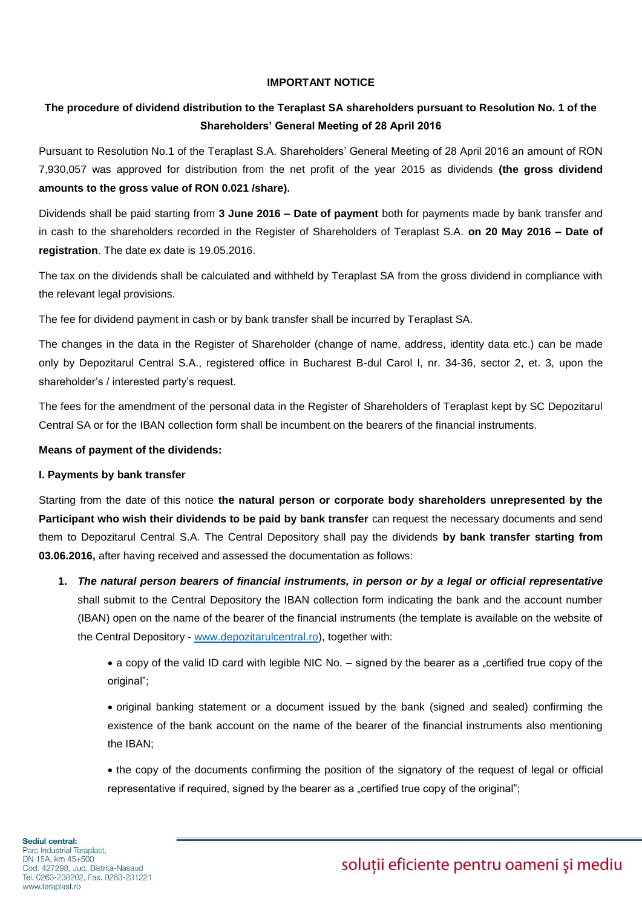### **IMPORTANT NOTICE**

### **The procedure of dividend distribution to the Teraplast SA shareholders pursuant to Resolution No. 1 of the Shareholders' General Meeting of 28 April 2016**

Pursuant to Resolution No.1 of the Teraplast S.A. Shareholders' General Meeting of 28 April 2016 an amount of RON 7,930,057 was approved for distribution from the net profit of the year 2015 as dividends **(the gross dividend amounts to the gross value of RON 0.021 /share).**

Dividends shall be paid starting from **3 June 2016 – Date of payment** both for payments made by bank transfer and in cash to the shareholders recorded in the Register of Shareholders of Teraplast S.A. **on 20 May 2016 – Date of registration**. The date ex date is 19.05.2016.

The tax on the dividends shall be calculated and withheld by Teraplast SA from the gross dividend in compliance with the relevant legal provisions.

The fee for dividend payment in cash or by bank transfer shall be incurred by Teraplast SA.

The changes in the data in the Register of Shareholder (change of name, address, identity data etc.) can be made only by Depozitarul Central S.A., registered office in Bucharest B-dul Carol I, nr. 34-36, sector 2, et. 3, upon the shareholder's / interested party's request.

The fees for the amendment of the personal data in the Register of Shareholders of Teraplast kept by SC Depozitarul Central SA or for the IBAN collection form shall be incumbent on the bearers of the financial instruments.

### **Means of payment of the dividends:**

### **I. Payments by bank transfer**

Starting from the date of this notice **the natural person or corporate body shareholders unrepresented by the Participant who wish their dividends to be paid by bank transfer** can request the necessary documents and send them to Depozitarul Central S.A. The Central Depository shall pay the dividends **by bank transfer starting from 03.06.2016,** after having received and assessed the documentation as follows:

**1.** *The natural person bearers of financial instruments, in person or by a legal or official representative* shall submit to the Central Depository the IBAN collection form indicating the bank and the account number (IBAN) open on the name of the bearer of the financial instruments (the template is available on the website of the Central Depository - [www.depozitarulcentral.ro\)](http://www.depozitarulcentral.ro/), together with:

• a copy of the valid ID card with legible NIC No. – signed by the bearer as a "certified true copy of the original";

 original banking statement or a document issued by the bank (signed and sealed) confirming the existence of the bank account on the name of the bearer of the financial instruments also mentioning the IBAN;

• the copy of the documents confirming the position of the signatory of the request of legal or official representative if required, signed by the bearer as a "certified true copy of the original";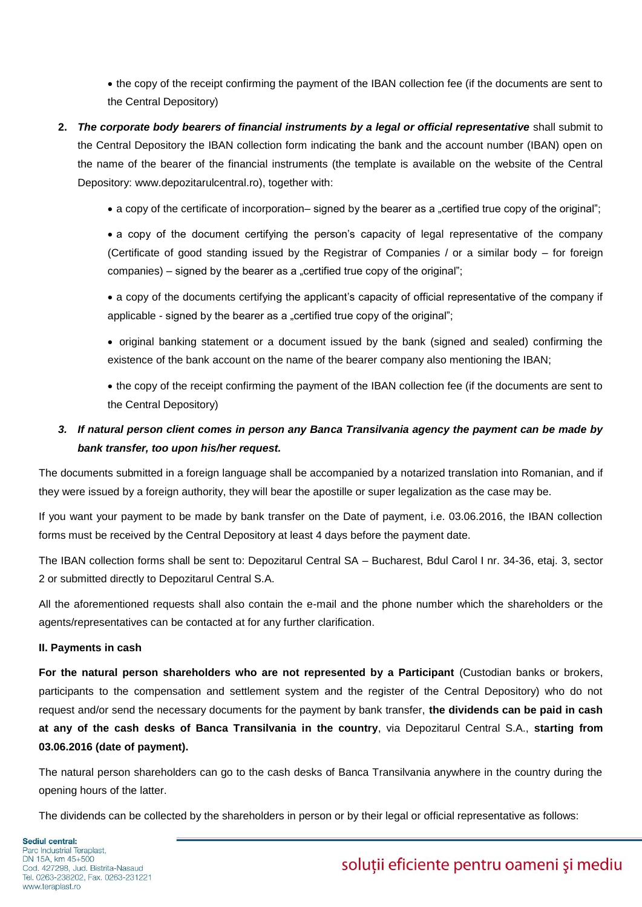the copy of the receipt confirming the payment of the IBAN collection fee (if the documents are sent to the Central Depository)

- **2.** *The corporate body bearers of financial instruments by a legal or official representative* shall submit to the Central Depository the IBAN collection form indicating the bank and the account number (IBAN) open on the name of the bearer of the financial instruments (the template is available on the website of the Central Depository: www.depozitarulcentral.ro), together with:
	- a copy of the certificate of incorporation– signed by the bearer as a "certified true copy of the original";

 a copy of the document certifying the person's capacity of legal representative of the company (Certificate of good standing issued by the Registrar of Companies / or a similar body – for foreign companies) – signed by the bearer as a "certified true copy of the original";

 a copy of the documents certifying the applicant's capacity of official representative of the company if applicable - signed by the bearer as a "certified true copy of the original";

• original banking statement or a document issued by the bank (signed and sealed) confirming the existence of the bank account on the name of the bearer company also mentioning the IBAN;

 the copy of the receipt confirming the payment of the IBAN collection fee (if the documents are sent to the Central Depository)

## *3. If natural person client comes in person any Banca Transilvania agency the payment can be made by bank transfer, too upon his/her request.*

The documents submitted in a foreign language shall be accompanied by a notarized translation into Romanian, and if they were issued by a foreign authority, they will bear the apostille or super legalization as the case may be.

If you want your payment to be made by bank transfer on the Date of payment, i.e. 03.06.2016, the IBAN collection forms must be received by the Central Depository at least 4 days before the payment date.

The IBAN collection forms shall be sent to: Depozitarul Central SA – Bucharest, Bdul Carol I nr. 34-36, etaj. 3, sector 2 or submitted directly to Depozitarul Central S.A.

All the aforementioned requests shall also contain the e-mail and the phone number which the shareholders or the agents/representatives can be contacted at for any further clarification.

### **II. Payments in cash**

For the natural person shareholders who are not represented by a Participant (Custodian banks or brokers, participants to the compensation and settlement system and the register of the Central Depository) who do not request and/or send the necessary documents for the payment by bank transfer, **the dividends can be paid in cash at any of the cash desks of Banca Transilvania in the country**, via Depozitarul Central S.A., **starting from 03.06.2016 (date of payment).**

The natural person shareholders can go to the cash desks of Banca Transilvania anywhere in the country during the opening hours of the latter.

The dividends can be collected by the shareholders in person or by their legal or official representative as follows:

Sediul central: Parc Industrial Teraplast, DN 15A, km 45+500 Cod. 427298, Jud. Bistrita-Nasaud Tel. 0263-238202, Fax. 0263-231221 www.teraplast.ro

soluții eficiente pentru oameni și mediu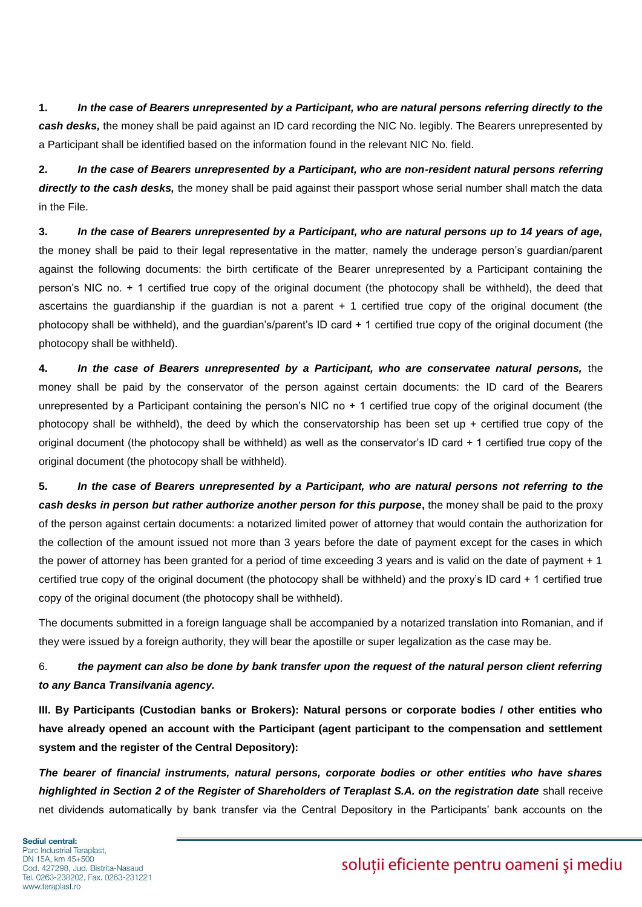**1.** *In the case of Bearers unrepresented by a Participant, who are natural persons referring directly to the cash desks,* the money shall be paid against an ID card recording the NIC No. legibly. The Bearers unrepresented by a Participant shall be identified based on the information found in the relevant NIC No. field.

**2.** *In the case of Bearers unrepresented by a Participant, who are non-resident natural persons referring directly to the cash desks,* the money shall be paid against their passport whose serial number shall match the data in the File.

**3.** *In the case of Bearers unrepresented by a Participant, who are natural persons up to 14 years of age,* the money shall be paid to their legal representative in the matter, namely the underage person's guardian/parent against the following documents: the birth certificate of the Bearer unrepresented by a Participant containing the person's NIC no. + 1 certified true copy of the original document (the photocopy shall be withheld), the deed that ascertains the guardianship if the guardian is not a parent + 1 certified true copy of the original document (the photocopy shall be withheld), and the guardian's/parent's ID card + 1 certified true copy of the original document (the photocopy shall be withheld).

**4.** *In the case of Bearers unrepresented by a Participant, who are conservatee natural persons,* the money shall be paid by the conservator of the person against certain documents: the ID card of the Bearers unrepresented by a Participant containing the person's NIC no + 1 certified true copy of the original document (the photocopy shall be withheld), the deed by which the conservatorship has been set up + certified true copy of the original document (the photocopy shall be withheld) as well as the conservator's ID card + 1 certified true copy of the original document (the photocopy shall be withheld).

**5.** *In the case of Bearers unrepresented by a Participant, who are natural persons not referring to the cash desks in person but rather authorize another person for this purpose***,** the money shall be paid to the proxy of the person against certain documents: a notarized limited power of attorney that would contain the authorization for the collection of the amount issued not more than 3 years before the date of payment except for the cases in which the power of attorney has been granted for a period of time exceeding 3 years and is valid on the date of payment + 1 certified true copy of the original document (the photocopy shall be withheld) and the proxy's ID card + 1 certified true copy of the original document (the photocopy shall be withheld).

The documents submitted in a foreign language shall be accompanied by a notarized translation into Romanian, and if they were issued by a foreign authority, they will bear the apostille or super legalization as the case may be.

## 6. *the payment can also be done by bank transfer upon the request of the natural person client referring to any Banca Transilvania agency.*

**III. By Participants (Custodian banks or Brokers): Natural persons or corporate bodies / other entities who have already opened an account with the Participant (agent participant to the compensation and settlement system and the register of the Central Depository):**

*The bearer of financial instruments, natural persons, corporate bodies or other entities who have shares highlighted in Section 2 of the Register of Shareholders of Teraplast S.A. on the registration date* shall receive net dividends automatically by bank transfer via the Central Depository in the Participants' bank accounts on the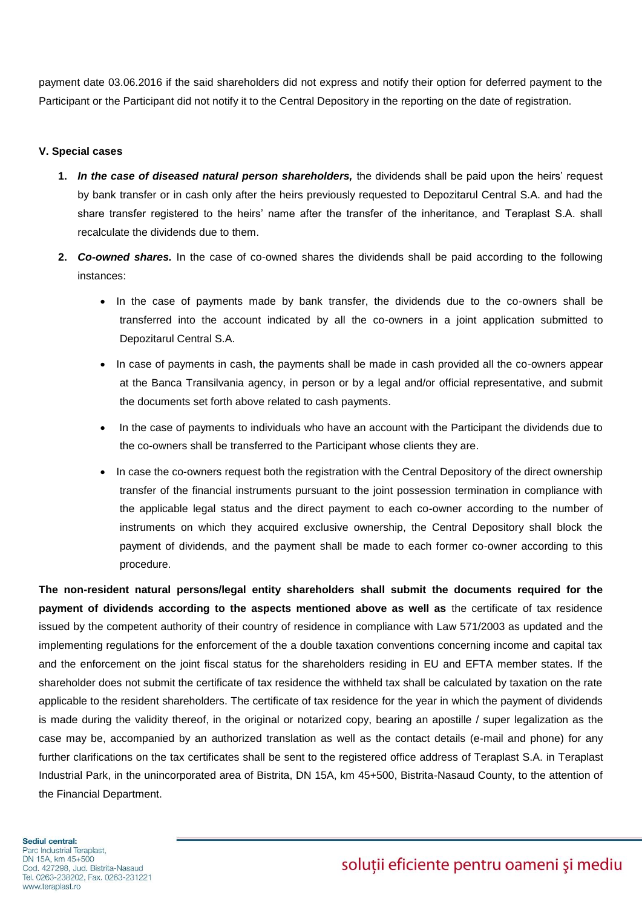payment date 03.06.2016 if the said shareholders did not express and notify their option for deferred payment to the Participant or the Participant did not notify it to the Central Depository in the reporting on the date of registration.

#### **V. Special cases**

- **1.** *In the case of diseased natural person shareholders,* the dividends shall be paid upon the heirs' request by bank transfer or in cash only after the heirs previously requested to Depozitarul Central S.A. and had the share transfer registered to the heirs' name after the transfer of the inheritance, and Teraplast S.A. shall recalculate the dividends due to them.
- **2.** *Co-owned shares.* In the case of co-owned shares the dividends shall be paid according to the following instances:
	- In the case of payments made by bank transfer, the dividends due to the co-owners shall be transferred into the account indicated by all the co-owners in a joint application submitted to Depozitarul Central S.A.
	- In case of payments in cash, the payments shall be made in cash provided all the co-owners appear at the Banca Transilvania agency, in person or by a legal and/or official representative, and submit the documents set forth above related to cash payments.
	- In the case of payments to individuals who have an account with the Participant the dividends due to the co-owners shall be transferred to the Participant whose clients they are.
	- In case the co-owners request both the registration with the Central Depository of the direct ownership transfer of the financial instruments pursuant to the joint possession termination in compliance with the applicable legal status and the direct payment to each co-owner according to the number of instruments on which they acquired exclusive ownership, the Central Depository shall block the payment of dividends, and the payment shall be made to each former co-owner according to this procedure.

**The non-resident natural persons/legal entity shareholders shall submit the documents required for the payment of dividends according to the aspects mentioned above as well as** the certificate of tax residence issued by the competent authority of their country of residence in compliance with Law 571/2003 as updated and the implementing regulations for the enforcement of the a double taxation conventions concerning income and capital tax and the enforcement on the joint fiscal status for the shareholders residing in EU and EFTA member states. If the shareholder does not submit the certificate of tax residence the withheld tax shall be calculated by taxation on the rate applicable to the resident shareholders. The certificate of tax residence for the year in which the payment of dividends is made during the validity thereof, in the original or notarized copy, bearing an apostille / super legalization as the case may be, accompanied by an authorized translation as well as the contact details (e-mail and phone) for any further clarifications on the tax certificates shall be sent to the registered office address of Teraplast S.A. in Teraplast Industrial Park, in the unincorporated area of Bistrita, DN 15A, km 45+500, Bistrita-Nasaud County, to the attention of the Financial Department.

#### Sediul central:

Parc Industrial Teraplast, DN 15A, km 45+500 Cod. 427298, Jud. Bistrita-Nasaud Tel. 0263-238202, Fax. 0263-231221 www.teraplast.ro

# soluții eficiente pentru oameni și mediu